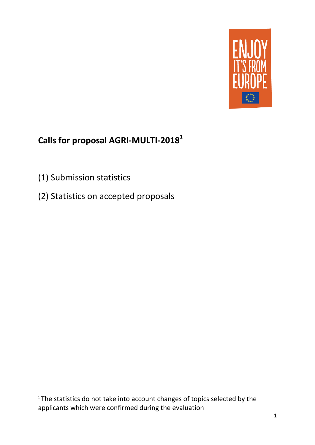

# **Calls for proposal AGRI-MULTI-2018 1**

(1) Submission statistics

**.** 

(2) Statistics on accepted proposals

<sup>&</sup>lt;sup>1</sup> The statistics do not take into account changes of topics selected by the applicants which were confirmed during the evaluation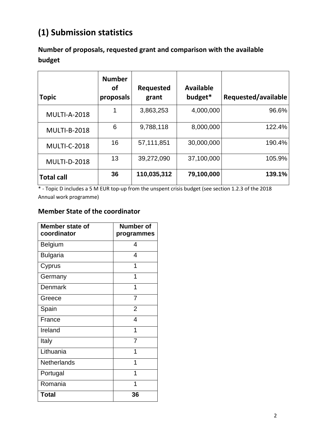# **(1) Submission statistics**

**Number of proposals, requested grant and comparison with the available budget**

| <b>Topic</b>        | <b>Number</b><br>οf<br>proposals | Requested<br>grant | <b>Available</b><br>budget* | Requested/available |
|---------------------|----------------------------------|--------------------|-----------------------------|---------------------|
| <b>MULTI-A-2018</b> |                                  | 3,863,253          | 4,000,000                   | 96.6%               |
| <b>MULTI-B-2018</b> | 6                                | 9,788,118          | 8,000,000                   | 122.4%              |
| <b>MULTI-C-2018</b> | 16                               | 57,111,851         | 30,000,000                  | 190.4%              |
| <b>MULTI-D-2018</b> | 13                               | 39,272,090         | 37,100,000                  | 105.9%              |
| <b>Total call</b>   | 36                               | 110,035,312        | 79,100,000                  | 139.1%              |

\* - Topic D includes a 5 M EUR top-up from the unspent crisis budget (see section 1.2.3 of the 2018 Annual work programme)

#### **Member State of the coordinator**

| Member state of<br>coordinator | <b>Number of</b><br>programmes |
|--------------------------------|--------------------------------|
| Belgium                        | 4                              |
| <b>Bulgaria</b>                | 4                              |
| Cyprus                         | 1                              |
| Germany                        | 1                              |
| <b>Denmark</b>                 | 1                              |
| Greece                         | 7                              |
| Spain                          | $\overline{2}$                 |
| France                         | $\overline{4}$                 |
| Ireland                        | 1                              |
| Italy                          | 7                              |
| Lithuania                      | 1                              |
| <b>Netherlands</b>             | 1                              |
| Portugal                       | 1                              |
| Romania                        | 1                              |
| <b>Total</b>                   | 36                             |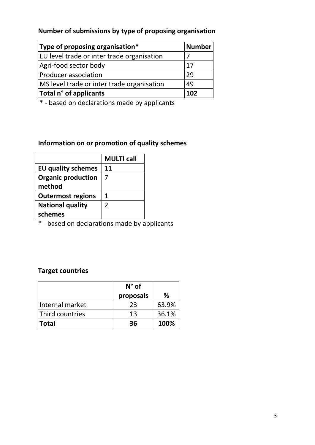### **Number of submissions by type of proposing organisation**

| Type of proposing organisation*            | <b>Number</b> |
|--------------------------------------------|---------------|
| EU level trade or inter trade organisation |               |
| Agri-food sector body                      | 17            |
| Producer association                       | 29            |
| MS level trade or inter trade organisation | 49            |
| Total n° of applicants                     | 102           |

\* - based on declarations made by applicants

### **Information on or promotion of quality schemes**

|                           | <b>MULTI call</b> |
|---------------------------|-------------------|
| <b>EU quality schemes</b> | 11                |
| <b>Organic production</b> |                   |
| method                    |                   |
| <b>Outermost regions</b>  | 1                 |
| <b>National quality</b>   | 2                 |
| schemes                   |                   |

\* - based on declarations made by applicants

## **Target countries**

|                 | $N^{\circ}$ of |       |
|-----------------|----------------|-------|
|                 | proposals      | ℅     |
| Internal market | 23             | 63.9% |
| Third countries | 13             | 36.1% |
| <b>Total</b>    | 36             | 100%  |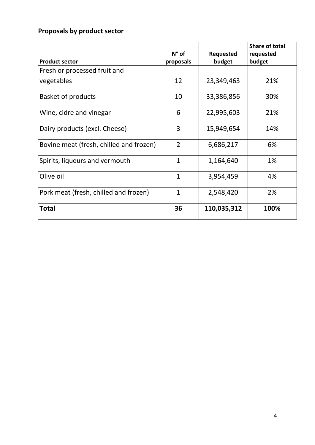# **Proposals by product sector**

|                                         |                |             | <b>Share of total</b> |
|-----------------------------------------|----------------|-------------|-----------------------|
|                                         | $N^{\circ}$ of | Requested   | requested             |
| <b>Product sector</b>                   | proposals      | budget      | budget                |
| Fresh or processed fruit and            |                |             |                       |
| vegetables                              | 12             | 23,349,463  | 21%                   |
| <b>Basket of products</b>               | 10             | 33,386,856  | 30%                   |
| Wine, cidre and vinegar                 | 6              | 22,995,603  | 21%                   |
| Dairy products (excl. Cheese)           | 3              | 15,949,654  | 14%                   |
| Bovine meat (fresh, chilled and frozen) | $\overline{2}$ | 6,686,217   | 6%                    |
| Spirits, liqueurs and vermouth          | $\mathbf{1}$   | 1,164,640   | 1%                    |
| Olive oil                               | $\mathbf{1}$   | 3,954,459   | 4%                    |
| Pork meat (fresh, chilled and frozen)   | 1              | 2,548,420   | 2%                    |
| <b>Total</b>                            | 36             | 110,035,312 | 100%                  |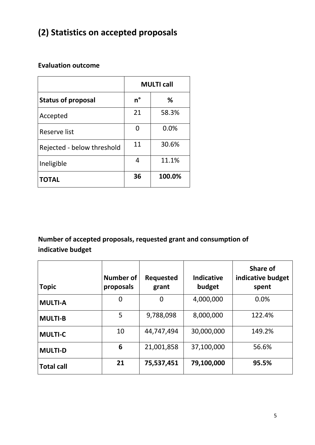# **(2) Statistics on accepted proposals**

#### **Evaluation outcome**

|                            | <b>MULTI call</b> |        |
|----------------------------|-------------------|--------|
| <b>Status of proposal</b>  | n°                | %      |
| Accepted                   | 21                | 58.3%  |
| Reserve list               |                   | 0.0%   |
| Rejected - below threshold | 11                | 30.6%  |
| Ineligible                 | 4                 | 11.1%  |
| <b>TOTAL</b>               | 36                | 100.0% |

## **Number of accepted proposals, requested grant and consumption of indicative budget**

| <b>Topic</b>      | Number of<br>proposals | <b>Requested</b><br>grant | <b>Indicative</b><br>budget | Share of<br>indicative budget<br>spent |
|-------------------|------------------------|---------------------------|-----------------------------|----------------------------------------|
| <b>MULTI-A</b>    | 0                      | $\boldsymbol{0}$          | 4,000,000                   | 0.0%                                   |
| <b>MULTI-B</b>    | 5                      | 9,788,098                 | 8,000,000                   | 122.4%                                 |
| <b>MULTI-C</b>    | 10                     | 44,747,494                | 30,000,000                  | 149.2%                                 |
| <b>MULTI-D</b>    | 6                      | 21,001,858                | 37,100,000                  | 56.6%                                  |
| <b>Total call</b> | 21                     | 75,537,451                | 79,100,000                  | 95.5%                                  |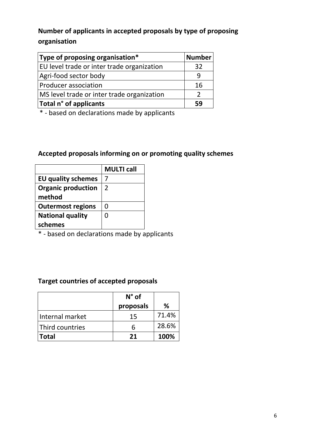## **Number of applicants in accepted proposals by type of proposing organisation**

| Type of proposing organisation $*$         | <b>Number</b> |
|--------------------------------------------|---------------|
| EU level trade or inter trade organization | 32            |
| Agri-food sector body                      |               |
| Producer association                       | 16            |
| MS level trade or inter trade organization |               |
| Total n° of applicants                     | 59            |

\* - based on declarations made by applicants

#### **Accepted proposals informing on or promoting quality schemes**

|                           | <b>MULTI call</b> |
|---------------------------|-------------------|
| <b>EU quality schemes</b> |                   |
| <b>Organic production</b> | $\overline{2}$    |
| method                    |                   |
| <b>Outermost regions</b>  | O                 |
| <b>National quality</b>   | 0                 |
| schemes                   |                   |

\* - based on declarations made by applicants

#### **Target countries of accepted proposals**

|                 | $N^{\circ}$ of |       |
|-----------------|----------------|-------|
|                 | proposals      | ℅     |
| Internal market | 15             | 71.4% |
| Third countries | h              | 28.6% |
| <b>Total</b>    | 21             | 100%  |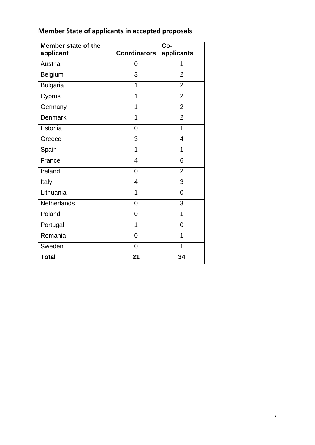| Member state of the<br>applicant | <b>Coordinators</b> | Co-<br>applicants |
|----------------------------------|---------------------|-------------------|
| Austria                          | 0                   | 1                 |
| Belgium                          | 3                   | $\overline{2}$    |
| <b>Bulgaria</b>                  | 1                   | $\overline{2}$    |
| Cyprus                           | 1                   | $\overline{2}$    |
| Germany                          | 1                   | $\overline{2}$    |
| <b>Denmark</b>                   | 1                   | $\overline{2}$    |
| Estonia                          | 0                   | 1                 |
| Greece                           | 3                   | 4                 |
| Spain                            | 1                   | 1                 |
| France                           | $\overline{4}$      | 6                 |
| Ireland                          | 0                   | $\overline{2}$    |
| Italy                            | 4                   | 3                 |
| Lithuania                        | 1                   | $\overline{0}$    |
| Netherlands                      | 0                   | 3                 |
| Poland                           | 0                   | $\mathbf 1$       |
| Portugal                         | 1                   | 0                 |
| Romania                          | $\overline{0}$      | 1                 |
| Sweden                           | 0                   | 1                 |
| <b>Total</b>                     | 21                  | 34                |

# **Member State of applicants in accepted proposals**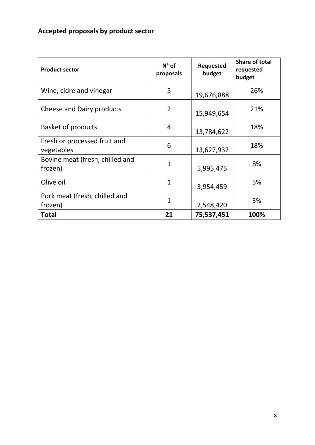# **Accepted proposals by product sector**

| <b>Product sector</b>                      | $N^{\circ}$ of<br>proposals | <b>Requested</b><br>budget | Share of total<br>requested<br>budget |
|--------------------------------------------|-----------------------------|----------------------------|---------------------------------------|
| Wine, cidre and vinegar                    | 5                           | 19,676,888                 | 26%                                   |
| Cheese and Dairy products                  | $\overline{2}$              | 15,949,654                 | 21%                                   |
| <b>Basket of products</b>                  | 4                           | 13,784,622                 | 18%                                   |
| Fresh or processed fruit and<br>vegetables | 6                           | 13,627,932                 | 18%                                   |
| Bovine meat (fresh, chilled and<br>frozen) | $\mathbf{1}$                | 5,995,475                  | 8%                                    |
| Olive oil                                  | $\mathbf{1}$                | 3,954,459                  | 5%                                    |
| Pork meat (fresh, chilled and<br>frozen)   | $\overline{1}$              | 2,548,420                  | 3%                                    |
| Total                                      | 21                          | 75,537,451                 | 100%                                  |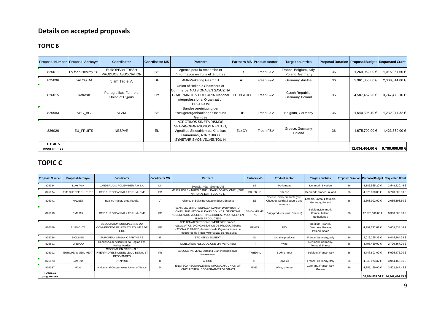# **Details on accepted proposals**

#### **TOPIC B**

| <b>TOPIC B</b>               |                                  |                                              |                       |                                                                                                                                                         |           |                                   |                                            |                                                   |                 |                |
|------------------------------|----------------------------------|----------------------------------------------|-----------------------|---------------------------------------------------------------------------------------------------------------------------------------------------------|-----------|-----------------------------------|--------------------------------------------|---------------------------------------------------|-----------------|----------------|
|                              | Proposal Number Proposal Acronym | Coordinator                                  | <b>Coordinator MS</b> | <b>Partners</b>                                                                                                                                         |           | <b>Partners MS Product sector</b> | <b>Target countries</b>                    | Proposal Duration Proposal Budget Requested Grant |                 |                |
| 826011                       | FV for a Healthy EU              | <b>EUROPEAN FRESH</b><br>PRODUCE ASSOCIATION | <b>BE</b>             | Agence pour la recherche et<br>l'information en fruits et légumes                                                                                       | <b>FR</b> | Fresh F&V                         | France, Belgium, Italy,<br>Poland, Germany | 36                                                | 1,269,952.00 €  | 1,015,961.60 € |
| 825096                       | 5ATOG DA                         | 5 am Tag e.V.                                | DE                    | AMA Marketing GesmbH                                                                                                                                    | AT        | Fresh F&V                         | Germany, Austria                           | 36                                                | 2,961,055.00 €  | 2,368,844.00 € |
| 826015                       | Refresh                          | Panagrotikos Farmers<br>Union of Cyprus      | CY                    | Union of Hellenic Chambers of<br>Commerce, NATSIONALEN SAYUZ NA<br><b>GRADINARITE V BULGARIA, National</b><br>Interprofessional Organization<br>PRODCOM | EL+BG+RO  | Fresh F&V                         | Czech Republic,<br>Germany, Poland         | 36                                                | 4,587,452.20 €  | 3,747,478.16 € |
| 825983                       | VEG BG                           | <b>VLAM</b>                                  | <b>BE</b>             | Bundes vereinigung der<br>Erzeugerorganisationen Obst und<br>Gemüse                                                                                     | DE        | Fresh F&V                         | Belgium, Germany                           | 36                                                | 1,540,305.40 €  | 1,232,244.32 € |
| 826020                       | EU FRUITS                        | <b>NESPAR</b>                                | EL.                   | <b>AGROTIKOS SINETAIRISMOS</b><br>SPARAGOPARAGOGON NESTOU,<br>Agrotikos Sinetairismos Kinotitas<br>Flamourias, AGROTIKOS<br>SYNETAIRISMOS VELVENTOU H   | EL+CY     | Fresh F&V                         | Greece, Germany,<br>Poland                 | 36                                                | 1,675,700.00 €  | 1,423,570.00 € |
| <b>TOTAL 5</b><br>programmes |                                  |                                              |                       |                                                                                                                                                         |           |                                   |                                            |                                                   | 12,034,464.60 € | 9,788,098.08 € |

#### **TOPIC C**

| programmes             |                           |                                                                                                     |                       |                                                                                                                                                                                           |                      |                                                                             |                                                       |                                                          | י⊾ טט דטד, דטש,⊾ו | v, v, v, v, v, v, v             |
|------------------------|---------------------------|-----------------------------------------------------------------------------------------------------|-----------------------|-------------------------------------------------------------------------------------------------------------------------------------------------------------------------------------------|----------------------|-----------------------------------------------------------------------------|-------------------------------------------------------|----------------------------------------------------------|-------------------|---------------------------------|
| <b>TOPIC C</b>         |                           |                                                                                                     |                       |                                                                                                                                                                                           |                      |                                                                             |                                                       |                                                          |                   |                                 |
| <b>Proposal Number</b> | <b>Proposal Acronym</b>   | Coordinator                                                                                         | <b>Coordinator MS</b> | <b>Partners</b>                                                                                                                                                                           | <b>Partners MS</b>   | <b>Product sector</b>                                                       | <b>Target countries</b>                               | <b>Proposal Duration Porposal Budget Requested Grant</b> |                   |                                 |
| 825384                 | Love Pork                 | LANDBRUG & FODEVARER F.M.B.A.                                                                       | DK                    | Svenskt Kött i Sverige AB                                                                                                                                                                 | <b>SE</b>            | Pork meat                                                                   | Denmark, Sweden                                       | 36                                                       | 3,185,525.20 €    | 2,548,420.16 €                  |
| 825674                 | <b>EMF CHEESE CULTURE</b> | GEIE EUROPEAN MILK FORUM - EMF                                                                      | <b>FR</b>             | MEJERIFORENINGEN DANISH DAIRY BOARD, CNIEL, THE<br>NATIONAL DAIRY COUNCIL                                                                                                                 | DK+FR+IE             | Cheese                                                                      | Denmark, France, Ireland                              | 36                                                       | 4,675,000.00 €    | 3,740,000.00 €                  |
| 826041                 | <b>HALNET</b>             | Baltijos maisto organizacija                                                                        | LT                    | Alliance of Baltic Beverage Industry Estonia                                                                                                                                              | EE                   | Cheese, Dairy products (excl.<br>Cheese), Spirits, liqueurs and<br>vermouth | Estonia, Latvia, Lithuania,<br>Germany, Poland        | 36                                                       | 2,568,992.00 €    | 2,055,193.60 €                  |
| 825810                 | <b>EMF Milk</b>           | GEIE EUROPEAN MILK FORUM - EMF                                                                      | FR                    | VLAM, MEJERIFORENINGEN DANISH DAIRY BOARD.<br>CNIEL. THE NATIONAL DAIRY COUNCIL. STICHTING<br>NEDERLANDS VOORLICHTINGSBUREAU VOOR MELK EN<br><b>ZUIVELPRODUCTEN</b>                       | BE+DK+FR+IE<br>$+NL$ | Dairy products (excl. Cheese)                                               | Belgium, Denmark,<br>France, Ireland,<br>Netherlands  | 36                                                       | 12,375,000.00 €   | 9,900,000.00 €                  |
| 826049                 | EUFV-CuTE                 | ASSOCIATION EUROPEENNE DU<br>COMMERCEDE FRUITS ET LEGUMES DE<br><b>L'UE</b>                         | <b>BE</b>             | AOP TOMATES ET CONCOMBRES DE France.<br>ASSOCIATION D'ORGANISATION DE PRODUCTEURS<br>NATIONALE FRAISE, Asociacion de Organizaciones de<br>Productores de Frutas y Hortalizas de Andalucia | FR+ES                | F&V                                                                         | Belgium, France,<br>Germany, Greece,<br>Poland, Spain | 36                                                       | 4,799,792.67 €    | 3,839,834.14 €                  |
| 825786                 | <b>BIOLS.EU</b>           | EUROPEAN ORGANIC PARTNERS                                                                           | $\mathsf{I}$          | <b>STICHTING BIONEXT</b>                                                                                                                                                                  | <b>NL</b>            | Organic products                                                            | France, Germany, Italy                                | 36                                                       | 8,019,255.35 €    | 6,415,404.28 €                  |
| 825601                 | QAEPDO                    | Comissão de Viticultura da Região dos<br>Vinhos Verdes                                              | PT                    | CONSORZIO ASSOCIAZIONE VINI VERONESI                                                                                                                                                      | IT                   | Wine                                                                        | Denmark, Germany,<br>Portugal, France                 | 36                                                       | 3,495,459.00 €    | 2,796,367.20 €                  |
| 825002                 |                           | ASSOCIATION NATIONALE<br>EUROPEAN VEAL MEAT INTERPROFESSIONNELLE DU BETAIL ET<br><b>DES VIANDES</b> | <b>FR</b>             | ASSOCARNI, VLAM, Stichting Brancheorganisatie<br>Kalversector                                                                                                                             | IT+BE+NL             | Bovine meat                                                                 | Belgium, France, Italy                                | 36                                                       | 8,447,603.00 €    | 5,995,475.00 €                  |
| 826023                 | EcceOlio                  | <b>UNAPROL</b>                                                                                      | IT                    | <b>AFIDOL</b>                                                                                                                                                                             | <b>FR</b>            | Olive oil                                                                   | France, Germany, Italy                                | 36                                                       | 4,943,073.32 €    | 3,954,458.66 €                  |
| 826037                 | <b>MCW</b>                | Agricultural Cooperatives Union of Naxos                                                            | EL.                   | ENOTECA REGIONALE EMILIA ROMAGNA, UNION OF<br>VINICULTURAL COOPERATIVES OF SAMOS                                                                                                          | IT+EL                | Wine, cheese                                                                | Germany, France, Italy,<br>Greece                     | 36                                                       | 4,255,169.00 €    | 3,502,341.45 €                  |
| TOTAL 10<br>programmes |                           |                                                                                                     |                       |                                                                                                                                                                                           |                      |                                                                             |                                                       |                                                          |                   | 56,764,869.54 € 44,747,494.49 € |